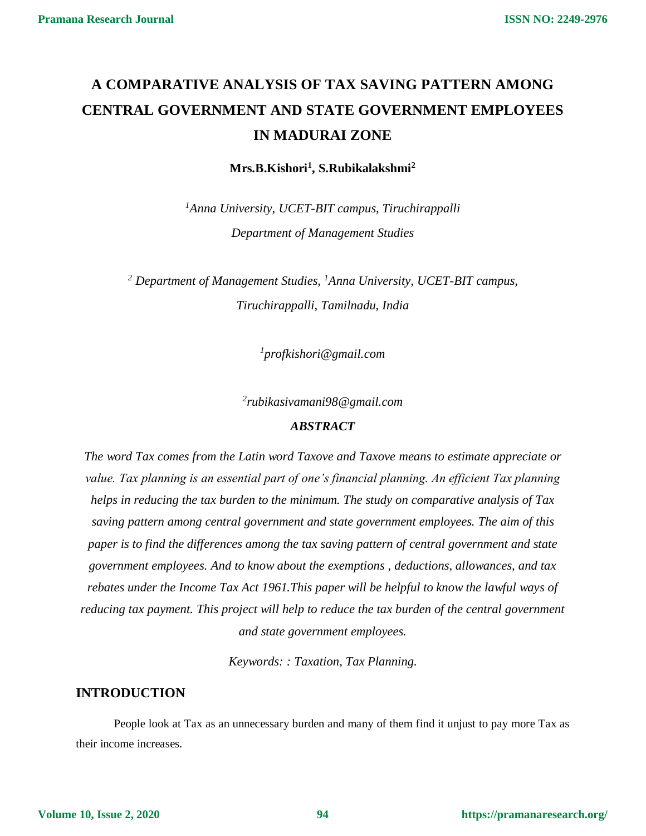# **A COMPARATIVE ANALYSIS OF TAX SAVING PATTERN AMONG CENTRAL GOVERNMENT AND STATE GOVERNMENT EMPLOYEES IN MADURAI ZONE**

**Mrs.B.Kishori<sup>1</sup> , S.Rubikalakshmi<sup>2</sup>**

*<sup>1</sup>Anna University, UCET-BIT campus, Tiruchirappalli Department of Management Studies*

*<sup>2</sup> Department of Management Studies, <sup>1</sup>Anna University, UCET-BIT campus, Tiruchirappalli, Tamilnadu, India*

*1 profkishori@gmail.com*

*2 rubikasivamani98@gmail.com*

#### *ABSTRACT*

*The word Tax comes from the Latin word Taxove and Taxove means to estimate appreciate or value. Tax planning is an essential part of one's financial planning. An efficient Tax planning helps in reducing the tax burden to the minimum. The study on comparative analysis of Tax saving pattern among central government and state government employees. The aim of this paper is to find the differences among the tax saving pattern of central government and state government employees. And to know about the exemptions , deductions, allowances, and tax rebates under the Income Tax Act 1961.This paper will be helpful to know the lawful ways of reducing tax payment. This project will help to reduce the tax burden of the central government and state government employees.*

*Keywords: : Taxation, Tax Planning.*

## **INTRODUCTION**

People look at Tax as an unnecessary burden and many of them find it unjust to pay more Tax as their income increases.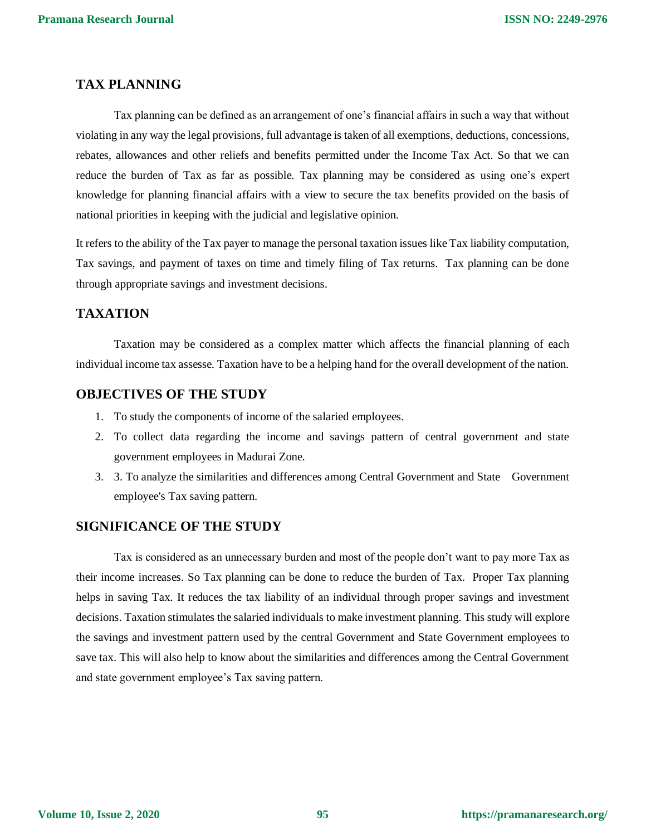## **TAX PLANNING**

Tax planning can be defined as an arrangement of one's financial affairs in such a way that without violating in any way the legal provisions, full advantage is taken of all exemptions, deductions, concessions, rebates, allowances and other reliefs and benefits permitted under the Income Tax Act. So that we can reduce the burden of Tax as far as possible. Tax planning may be considered as using one's expert knowledge for planning financial affairs with a view to secure the tax benefits provided on the basis of national priorities in keeping with the judicial and legislative opinion.

It refers to the ability of the Tax payer to manage the personal taxation issues like Tax liability computation, Tax savings, and payment of taxes on time and timely filing of Tax returns. Tax planning can be done through appropriate savings and investment decisions.

### **TAXATION**

Taxation may be considered as a complex matter which affects the financial planning of each individual income tax assesse. Taxation have to be a helping hand for the overall development of the nation.

#### **OBJECTIVES OF THE STUDY**

- 1. To study the components of income of the salaried employees.
- 2. To collect data regarding the income and savings pattern of central government and state government employees in Madurai Zone.
- 3. 3. To analyze the similarities and differences among Central Government and State Government employee's Tax saving pattern.

#### **SIGNIFICANCE OF THE STUDY**

Tax is considered as an unnecessary burden and most of the people don't want to pay more Tax as their income increases. So Tax planning can be done to reduce the burden of Tax. Proper Tax planning helps in saving Tax. It reduces the tax liability of an individual through proper savings and investment decisions. Taxation stimulates the salaried individuals to make investment planning. This study will explore the savings and investment pattern used by the central Government and State Government employees to save tax. This will also help to know about the similarities and differences among the Central Government and state government employee's Tax saving pattern.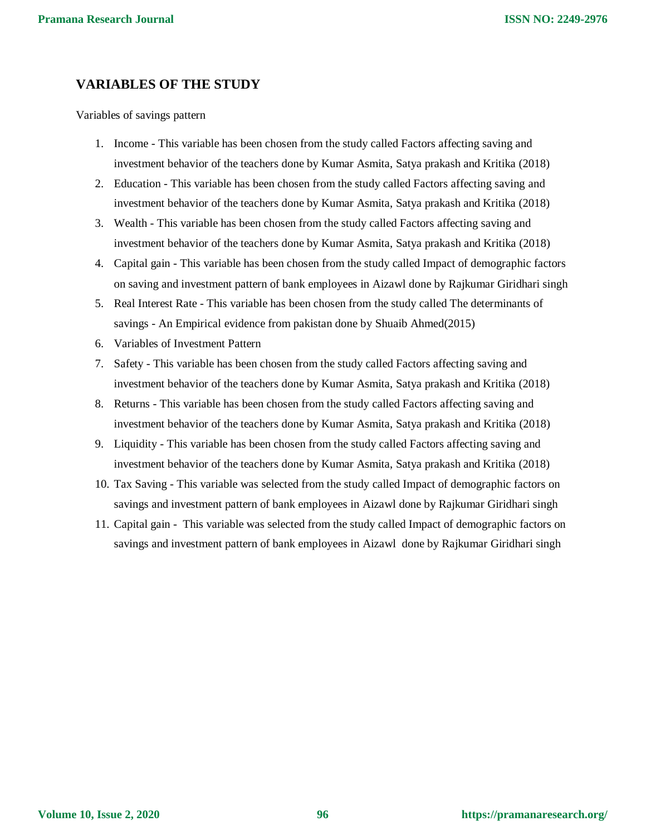## **VARIABLES OF THE STUDY**

Variables of savings pattern

- 1. Income This variable has been chosen from the study called Factors affecting saving and investment behavior of the teachers done by Kumar Asmita, Satya prakash and Kritika (2018)
- 2. Education This variable has been chosen from the study called Factors affecting saving and investment behavior of the teachers done by Kumar Asmita, Satya prakash and Kritika (2018)
- 3. Wealth This variable has been chosen from the study called Factors affecting saving and investment behavior of the teachers done by Kumar Asmita, Satya prakash and Kritika (2018)
- 4. Capital gain This variable has been chosen from the study called Impact of demographic factors on saving and investment pattern of bank employees in Aizawl done by Rajkumar Giridhari singh
- 5. Real Interest Rate This variable has been chosen from the study called The determinants of savings - An Empirical evidence from pakistan done by Shuaib Ahmed(2015)
- 6. Variables of Investment Pattern
- 7. Safety This variable has been chosen from the study called Factors affecting saving and investment behavior of the teachers done by Kumar Asmita, Satya prakash and Kritika (2018)
- 8. Returns This variable has been chosen from the study called Factors affecting saving and investment behavior of the teachers done by Kumar Asmita, Satya prakash and Kritika (2018)
- 9. Liquidity This variable has been chosen from the study called Factors affecting saving and investment behavior of the teachers done by Kumar Asmita, Satya prakash and Kritika (2018)
- 10. Tax Saving This variable was selected from the study called Impact of demographic factors on savings and investment pattern of bank employees in Aizawl done by Rajkumar Giridhari singh
- 11. Capital gain This variable was selected from the study called Impact of demographic factors on savings and investment pattern of bank employees in Aizawl done by Rajkumar Giridhari singh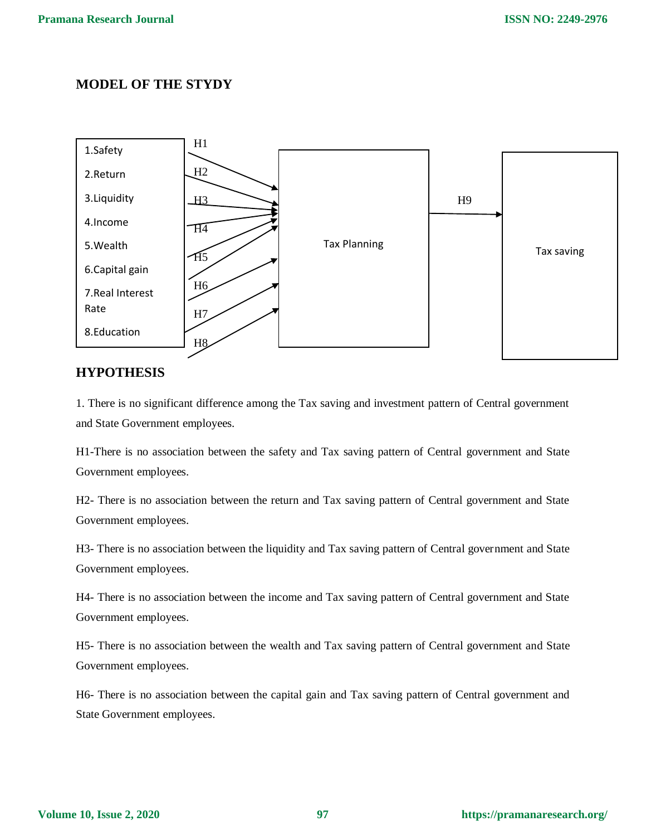# **MODEL OF THE STYDY**



# **HYPOTHESIS**

1. There is no significant difference among the Tax saving and investment pattern of Central government and State Government employees.

H1-There is no association between the safety and Tax saving pattern of Central government and State Government employees.

H2- There is no association between the return and Tax saving pattern of Central government and State Government employees.

H3- There is no association between the liquidity and Tax saving pattern of Central government and State Government employees.

H4- There is no association between the income and Tax saving pattern of Central government and State Government employees.

H5- There is no association between the wealth and Tax saving pattern of Central government and State Government employees.

H6- There is no association between the capital gain and Tax saving pattern of Central government and State Government employees.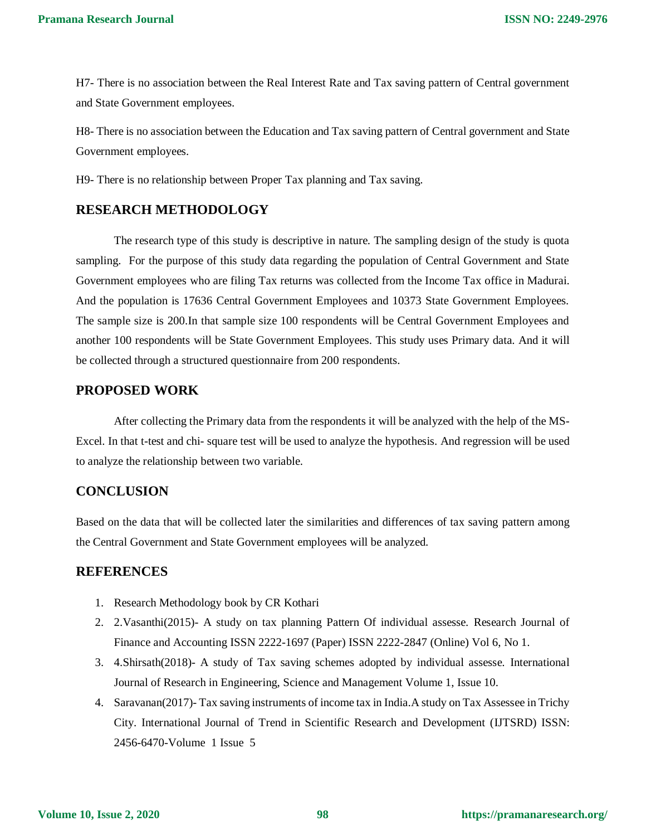H7- There is no association between the Real Interest Rate and Tax saving pattern of Central government and State Government employees.

H8- There is no association between the Education and Tax saving pattern of Central government and State Government employees.

H9- There is no relationship between Proper Tax planning and Tax saving.

# **RESEARCH METHODOLOGY**

The research type of this study is descriptive in nature. The sampling design of the study is quota sampling. For the purpose of this study data regarding the population of Central Government and State Government employees who are filing Tax returns was collected from the Income Tax office in Madurai. And the population is 17636 Central Government Employees and 10373 State Government Employees. The sample size is 200.In that sample size 100 respondents will be Central Government Employees and another 100 respondents will be State Government Employees. This study uses Primary data. And it will be collected through a structured questionnaire from 200 respondents.

# **PROPOSED WORK**

After collecting the Primary data from the respondents it will be analyzed with the help of the MS-Excel. In that t-test and chi- square test will be used to analyze the hypothesis. And regression will be used to analyze the relationship between two variable.

#### **CONCLUSION**

Based on the data that will be collected later the similarities and differences of tax saving pattern among the Central Government and State Government employees will be analyzed.

#### **REFERENCES**

- 1. Research Methodology book by CR Kothari
- 2. 2.Vasanthi(2015)- A study on tax planning Pattern Of individual assesse. Research Journal of Finance and Accounting ISSN 2222-1697 (Paper) ISSN 2222-2847 (Online) Vol 6, No 1.
- 3. 4.Shirsath(2018)- A study of Tax saving schemes adopted by individual assesse. International Journal of Research in Engineering, Science and Management Volume 1, Issue 10.
- 4. Saravanan(2017)- Tax saving instruments of income tax in India.A study on Tax Assessee in Trichy City. International Journal of Trend in Scientific Research and Development (IJTSRD) ISSN: 2456-6470-Volume 1 Issue 5